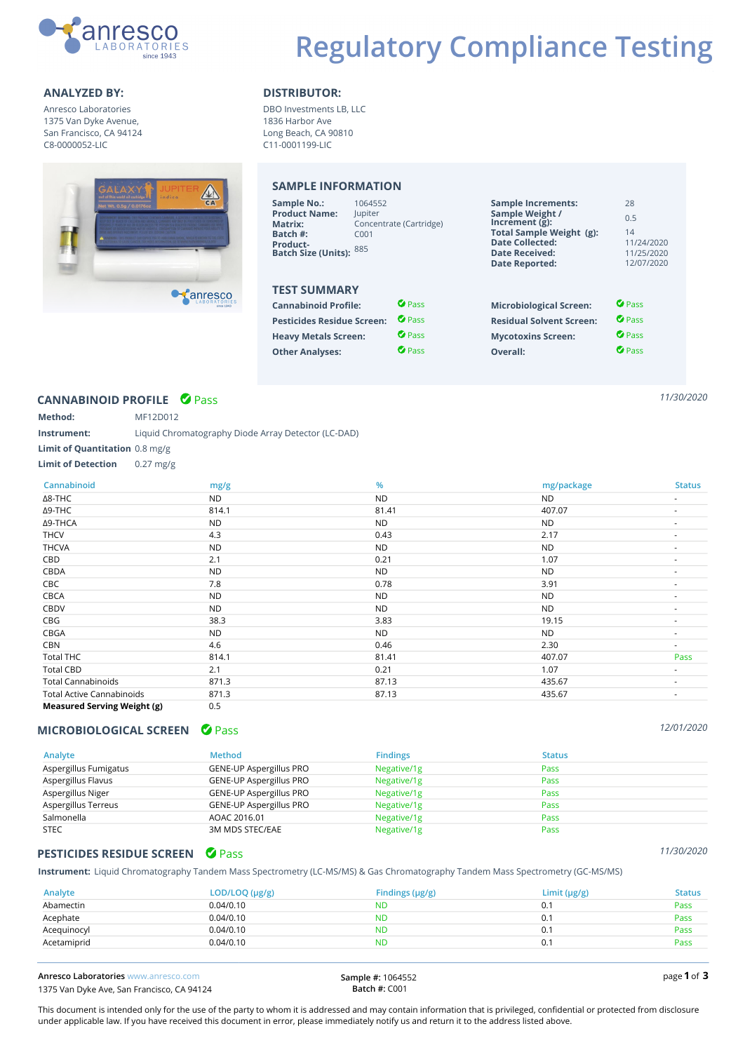

Anresco Laboratories 1375 Van Dyke Avenue, San Francisco, CA 94124 C8-0000052-LIC



### **ANALYZED BY: DISTRIBUTOR:**

DBO Investments LB, LLC 1836 Harbor Ave Long Beach, CA 90810 C11-0001199-LIC

# **SAMPLE INFORMATION**

| <b>Sample No.:</b><br><b>Product Name:</b><br>Matrix:<br>Batch #:<br><b>Product-</b><br><b>Batch Size (Units):</b> | 1064552<br><b>Jupiter</b><br>C <sub>001</sub><br>885 | Concentrate (Cartridge) | <b>Sample Increments:</b><br>Sample Weight /<br>Increment $(g)$ :<br>Total Sample Weight (g):<br><b>Date Collected:</b><br><b>Date Received:</b><br><b>Date Reported:</b> | 28<br>0.5<br>14<br>11/24/2020<br>11/25/2020<br>12/07/2020 |
|--------------------------------------------------------------------------------------------------------------------|------------------------------------------------------|-------------------------|---------------------------------------------------------------------------------------------------------------------------------------------------------------------------|-----------------------------------------------------------|
| <b>TEST SUMMARY</b>                                                                                                |                                                      |                         |                                                                                                                                                                           |                                                           |
| <b>Cannabinoid Profile:</b>                                                                                        |                                                      | <b><i>O Pass</i></b>    | <b>Microbiological Screen:</b>                                                                                                                                            | $\bullet$ Pass                                            |
| <b>Pesticides Residue Screen:</b>                                                                                  |                                                      | <b>C</b> Pass           | <b>Residual Solvent Screen:</b>                                                                                                                                           | $\bullet$ Pass                                            |
| <b>Heavy Metals Screen:</b>                                                                                        |                                                      | <b><i>O</i></b> Pass    | <b>Mycotoxins Screen:</b>                                                                                                                                                 | <b><i>O</i></b> Pass                                      |
| <b>Other Analyses:</b>                                                                                             |                                                      | $\bullet$ Pass          | Overall:                                                                                                                                                                  | $\bullet$ Pass                                            |

# **CANNABINOID PROFILE** Pass ✔

| Method:                               | MF12D012                                            |
|---------------------------------------|-----------------------------------------------------|
| Instrument:                           | Liquid Chromatography Diode Array Detector (LC-DAD) |
| <b>Limit of Quantitation</b> 0.8 mg/g |                                                     |
| <b>Limit of Detection</b>             | $0.27$ mg/g                                         |

| Cannabinoid                        | mg/g      | $\frac{9}{6}$ | mg/package | <b>Status</b>            |
|------------------------------------|-----------|---------------|------------|--------------------------|
| ∆8-THC                             | ND.       | <b>ND</b>     | ND.        | ٠                        |
| Δ9-THC                             | 814.1     | 81.41         | 407.07     | $\sim$                   |
| Δ9-THCA                            | <b>ND</b> | <b>ND</b>     | <b>ND</b>  | $\sim$                   |
| <b>THCV</b>                        | 4.3       | 0.43          | 2.17       |                          |
| <b>THCVA</b>                       | <b>ND</b> | <b>ND</b>     | <b>ND</b>  |                          |
| CBD                                | 2.1       | 0.21          | 1.07       | $\overline{\phantom{a}}$ |
| CBDA                               | <b>ND</b> | <b>ND</b>     | <b>ND</b>  | $\overline{\phantom{a}}$ |
| CBC                                | 7.8       | 0.78          | 3.91       |                          |
| <b>CBCA</b>                        | <b>ND</b> | ND.           | <b>ND</b>  |                          |
| <b>CBDV</b>                        | <b>ND</b> | ND.           | <b>ND</b>  |                          |
| CBG                                | 38.3      | 3.83          | 19.15      |                          |
| CBGA                               | <b>ND</b> | ND.           | <b>ND</b>  |                          |
| CBN                                | 4.6       | 0.46          | 2.30       |                          |
| <b>Total THC</b>                   | 814.1     | 81.41         | 407.07     | Pass                     |
| <b>Total CBD</b>                   | 2.1       | 0.21          | 1.07       |                          |
| <b>Total Cannabinoids</b>          | 871.3     | 87.13         | 435.67     | ۰                        |
| <b>Total Active Cannabinoids</b>   | 871.3     | 87.13         | 435.67     | ٠                        |
| <b>Measured Serving Weight (g)</b> | 0.5       |               |            |                          |

### **MICROBIOLOGICAL SCREEN** *O* **Pass**

| Analyte               | <b>Method</b>           | <b>Findings</b> | <b>Status</b> |
|-----------------------|-------------------------|-----------------|---------------|
| Aspergillus Fumigatus | GENE-UP Aspergillus PRO | Negative/1g     | Pass          |
| Aspergillus Flavus    | GENE-UP Aspergillus PRO | Negative/1g     | Pass          |
| Aspergillus Niger     | GENE-UP Aspergillus PRO | Negative/1g     | Pass          |
| Aspergillus Terreus   | GENE-UP Aspergillus PRO | Negative/1g     | Pass          |
| Salmonella            | AOAC 2016.01            | Negative/1g     | Pass          |
| <b>STEC</b>           | 3M MDS STEC/EAE         | Negative/1g     | Pass          |

### **PESTICIDES RESIDUE SCREEN** *O* **Pass**

**Instrument:** Liquid Chromatography Tandem Mass Spectrometry (LC-MS/MS) & Gas Chromatography Tandem Mass Spectrometry (GC-MS/MS)

| Analyte     | LOD/LOQ (µg/g) | Findings $(\mu g/g)$ | Limit $(\mu g/g)$ | <b>Status</b> |
|-------------|----------------|----------------------|-------------------|---------------|
| Abamectin   | 0.04/0.10      | ND                   | 0.2               | Pass          |
| Acephate    | 0.04/0.10      | <b>ND</b>            | 0.1               | Pass          |
| Acequinocyl | 0.04/0.10      | <b>ND</b>            | 0.1               | Pass          |
| Acetamiprid | 0.04/0.10      | <b>ND</b>            | 0.1               | Pass          |

**Anresco Laboratories www.anresco.com** 1375 Van Dyke Ave, San Francisco, CA 94124 **Sample #:** 1064552 **Batch #:** C001

**1 3**

*11/30/2020*

This document is intended only for the use of the party to whom it is addressed and may contain information that is privileged, confidential or protected from disclosure under applicable law. If you have received this document in error, please immediately notify us and return it to the address listed above.

*12/01/2020*

### *11/30/2020*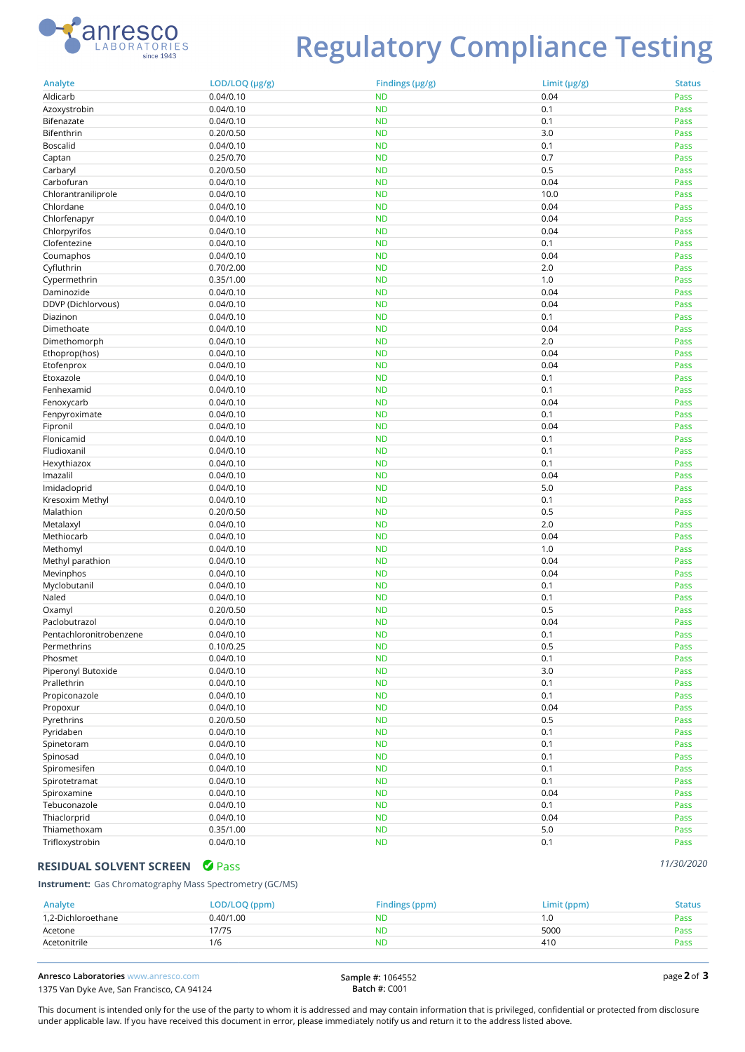

# **Regulatory Compliance Testing**

| Analyte                 | LOD/LOQ (µg/g) | Findings (µg/g)        | Limit $(\mu g/g)$ | <b>Status</b> |
|-------------------------|----------------|------------------------|-------------------|---------------|
| Aldicarb                | 0.04/0.10      | <b>ND</b>              | 0.04              | Pass          |
| Azoxystrobin            | 0.04/0.10      | <b>ND</b>              | 0.1               | Pass          |
| Bifenazate              | 0.04/0.10      | <b>ND</b>              | 0.1               | Pass          |
| Bifenthrin              | 0.20/0.50      | <b>ND</b>              | 3.0               | Pass          |
| <b>Boscalid</b>         | 0.04/0.10      | <b>ND</b>              | 0.1               | Pass          |
| Captan                  | 0.25/0.70      | <b>ND</b>              | 0.7               | Pass          |
| Carbaryl                | 0.20/0.50      | <b>ND</b>              | 0.5               | Pass          |
| Carbofuran              | 0.04/0.10      | <b>ND</b>              | 0.04              | Pass          |
| Chlorantraniliprole     | 0.04/0.10      | <b>ND</b>              | 10.0              | Pass          |
| Chlordane               | 0.04/0.10      | <b>ND</b>              | 0.04              | Pass          |
| Chlorfenapyr            | 0.04/0.10      | <b>ND</b>              | 0.04              | Pass          |
| Chlorpyrifos            | 0.04/0.10      | <b>ND</b>              | 0.04              | Pass          |
| Clofentezine            | 0.04/0.10      | <b>ND</b>              | 0.1               | Pass          |
| Coumaphos               | 0.04/0.10      | <b>ND</b>              | 0.04              | Pass          |
| Cyfluthrin              | 0.70/2.00      | <b>ND</b>              | 2.0               | Pass          |
| Cypermethrin            | 0.35/1.00      | <b>ND</b>              | 1.0               | Pass          |
| Daminozide              | 0.04/0.10      | <b>ND</b>              | 0.04              | Pass          |
| DDVP (Dichlorvous)      | 0.04/0.10      | <b>ND</b>              | 0.04              | Pass          |
| Diazinon                | 0.04/0.10      | <b>ND</b>              | 0.1               | Pass          |
| Dimethoate              | 0.04/0.10      | <b>ND</b>              | 0.04              | Pass          |
| Dimethomorph            | 0.04/0.10      | <b>ND</b>              | 2.0               | Pass          |
| Ethoprop(hos)           | 0.04/0.10      | <b>ND</b>              | 0.04              | Pass          |
| Etofenprox              | 0.04/0.10      | <b>ND</b>              | 0.04              | Pass          |
| Etoxazole               | 0.04/0.10      | <b>ND</b>              | 0.1               | Pass          |
| Fenhexamid              | 0.04/0.10      | <b>ND</b>              | 0.1               | Pass          |
|                         | 0.04/0.10      | <b>ND</b>              | 0.04              | Pass          |
| Fenoxycarb              |                |                        |                   |               |
| Fenpyroximate           | 0.04/0.10      | <b>ND</b><br><b>ND</b> | 0.1<br>0.04       | Pass          |
| Fipronil                | 0.04/0.10      |                        |                   | Pass          |
| Flonicamid              | 0.04/0.10      | <b>ND</b>              | 0.1               | Pass          |
| Fludioxanil             | 0.04/0.10      | <b>ND</b>              | 0.1               | Pass          |
| Hexythiazox             | 0.04/0.10      | <b>ND</b>              | 0.1               | Pass          |
| Imazalil                | 0.04/0.10      | <b>ND</b>              | 0.04              | Pass          |
| Imidacloprid            | 0.04/0.10      | <b>ND</b>              | 5.0               | Pass          |
| Kresoxim Methyl         | 0.04/0.10      | <b>ND</b>              | 0.1               | Pass          |
| Malathion               | 0.20/0.50      | <b>ND</b>              | 0.5               | Pass          |
| Metalaxyl               | 0.04/0.10      | <b>ND</b>              | 2.0               | Pass          |
| Methiocarb              | 0.04/0.10      | <b>ND</b>              | 0.04              | Pass          |
| Methomyl                | 0.04/0.10      | <b>ND</b>              | 1.0               | Pass          |
| Methyl parathion        | 0.04/0.10      | <b>ND</b>              | 0.04              | Pass          |
| Mevinphos               | 0.04/0.10      | <b>ND</b>              | 0.04              | Pass          |
| Myclobutanil            | 0.04/0.10      | <b>ND</b>              | 0.1               | Pass          |
| Naled                   | 0.04/0.10      | <b>ND</b>              | 0.1               | Pass          |
| Oxamyl                  | 0.20/0.50      | <b>ND</b>              | 0.5               | Pass          |
| Paclobutrazol           | 0.04/0.10      | <b>ND</b>              | 0.04              | Pass          |
| Pentachloronitrobenzene | 0.04/0.10      | <b>ND</b>              | 0.1               | Pass          |
| Permethrins             | 0.10/0.25      | <b>ND</b>              | 0.5               | Pass          |
| Phosmet                 | 0.04/0.10      | <b>ND</b>              | 0.1               | Pass          |
| Piperonyl Butoxide      | 0.04/0.10      | <b>ND</b>              | 3.0               | Pass          |
| Prallethrin             | 0.04/0.10      | <b>ND</b>              | 0.1               | Pass          |
| Propiconazole           | 0.04/0.10      | <b>ND</b>              | 0.1               | Pass          |
| Propoxur                | 0.04/0.10      | <b>ND</b>              | 0.04              | Pass          |
| Pyrethrins              | 0.20/0.50      | <b>ND</b>              | 0.5               | Pass          |
| Pyridaben               | 0.04/0.10      | <b>ND</b>              | 0.1               | Pass          |
| Spinetoram              | 0.04/0.10      | <b>ND</b>              | 0.1               | Pass          |
| Spinosad                | 0.04/0.10      | <b>ND</b>              | 0.1               | Pass          |
| Spiromesifen            | 0.04/0.10      | <b>ND</b>              | 0.1               | Pass          |
| Spirotetramat           | 0.04/0.10      | <b>ND</b>              | 0.1               | Pass          |
| Spiroxamine             | 0.04/0.10      | <b>ND</b>              | 0.04              | Pass          |
| Tebuconazole            | 0.04/0.10      | <b>ND</b>              | 0.1               | Pass          |
| Thiaclorprid            | 0.04/0.10      | <b>ND</b>              | 0.04              | Pass          |
| Thiamethoxam            | 0.35/1.00      | <b>ND</b>              | 5.0               | Pass          |
| Trifloxystrobin         | 0.04/0.10      | <b>ND</b>              | 0.1               | Pass          |

# RESIDUAL SOLVENT SCREEN **O Pass**

**Instrument:** Gas Chromatography Mass Spectrometry (GC/MS)

| Analyte            | LOD/LOQ (ppm) | Findings (ppm) | Limit (ppm)     | Status |
|--------------------|---------------|----------------|-----------------|--------|
| 1.2-Dichloroethane | 0.40/1.00     | ND.            | l .U            | Pass   |
| Acetone            | 17/75         | ND             | 5000            | Pass   |
| Acetonitrile       | 1/6           | ND             | 41 <sub>C</sub> | Pass   |
|                    |               |                |                 |        |

**Anresco Laboratories** www.anresco.com 1375 Van Dyke Ave, San Francisco, CA 94124 **Sample #:** 1064552 **Batch #:** C001

**2 3**

*11/30/2020*

This document is intended only for the use of the party to whom it is addressed and may contain information that is privileged, confidential or protected from disclosure under applicable law. If you have received this document in error, please immediately notify us and return it to the address listed above.